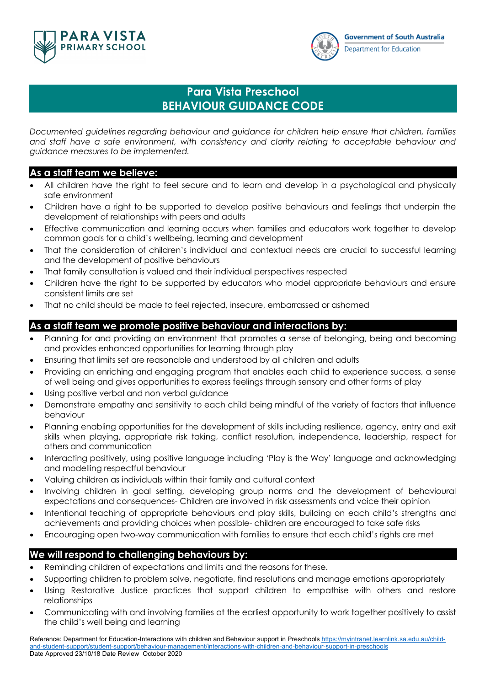



## **Para Vista Preschool BEHAVIOUR GUIDANCE CODE**

*Documented guidelines regarding behaviour and guidance for children help ensure that children, families and staff have a safe environment, with consistency and clarity relating to acceptable behaviour and guidance measures to be implemented.*

## **As a staff team we believe:**

- All children have the right to feel secure and to learn and develop in a psychological and physically safe environment
- Children have a right to be supported to develop positive behaviours and feelings that underpin the development of relationships with peers and adults
- Effective communication and learning occurs when families and educators work together to develop common goals for a child's wellbeing, learning and development
- That the consideration of children's individual and contextual needs are crucial to successful learning and the development of positive behaviours
- That family consultation is valued and their individual perspectives respected
- Children have the right to be supported by educators who model appropriate behaviours and ensure consistent limits are set
- That no child should be made to feel rejected, insecure, embarrassed or ashamed

## **As a staff team we promote positive behaviour and interactions by:**

- Planning for and providing an environment that promotes a sense of belonging, being and becoming and provides enhanced opportunities for learning through play
- Ensuring that limits set are reasonable and understood by all children and adults
- Providing an enriching and engaging program that enables each child to experience success, a sense of well being and gives opportunities to express feelings through sensory and other forms of play
- Using positive verbal and non verbal guidance
- Demonstrate empathy and sensitivity to each child being mindful of the variety of factors that influence behaviour
- Planning enabling opportunities for the development of skills including resilience, agency, entry and exit skills when playing, appropriate risk taking, conflict resolution, independence, leadership, respect for others and communication
- Interacting positively, using positive language including 'Play is the Way' language and acknowledging and modelling respectful behaviour
- Valuing children as individuals within their family and cultural context
- Involving children in goal setting, developing group norms and the development of behavioural expectations and consequences- Children are involved in risk assessments and voice their opinion
- Intentional teaching of appropriate behaviours and play skills, building on each child's strengths and achievements and providing choices when possible- children are encouraged to take safe risks
- Encouraging open two-way communication with families to ensure that each child's rights are met

## **We will respond to challenging behaviours by:**

- Reminding children of expectations and limits and the reasons for these.
- Supporting children to problem solve, negotiate, find resolutions and manage emotions appropriately
- Using Restorative Justice practices that support children to empathise with others and restore relationships
- Communicating with and involving families at the earliest opportunity to work together positively to assist the child's well being and learning

Reference: Department for Education-Interactions with children and Behaviour support in Preschools https://myintranet.learnlink.sa.edu.au/childand-student-support/student-support/behaviour-management/interactions-with-children-and-behaviour-support-in-preschools Date Approved 23/10/18 Date Review October 2020